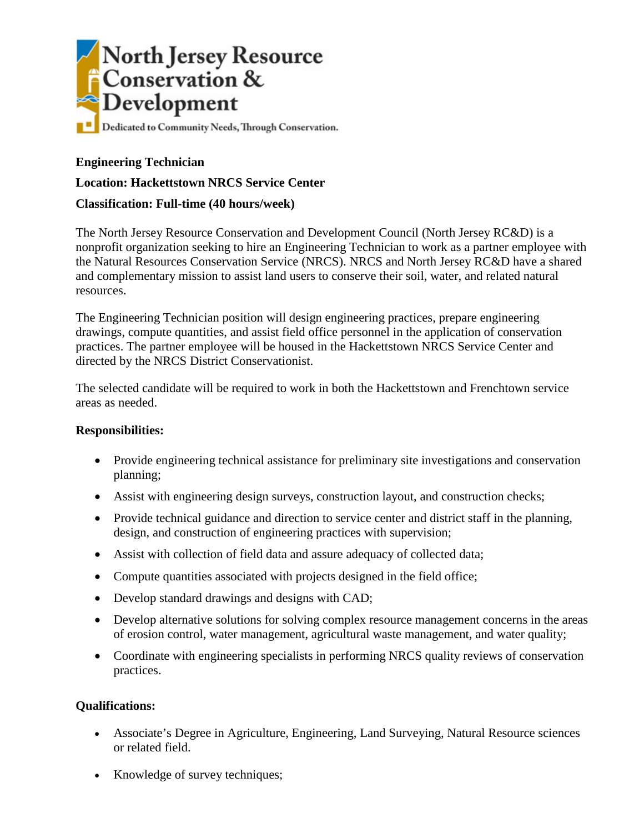

### **Engineering Technician**

**Location: Hackettstown NRCS Service Center**

#### **Classification: Full-time (40 hours/week)**

The North Jersey Resource Conservation and Development Council (North Jersey RC&D) is a nonprofit organization seeking to hire an Engineering Technician to work as a partner employee with the Natural Resources Conservation Service (NRCS). NRCS and North Jersey RC&D have a shared and complementary mission to assist land users to conserve their soil, water, and related natural resources.

The Engineering Technician position will design engineering practices, prepare engineering drawings, compute quantities, and assist field office personnel in the application of conservation practices. The partner employee will be housed in the Hackettstown NRCS Service Center and directed by the NRCS District Conservationist.

The selected candidate will be required to work in both the Hackettstown and Frenchtown service areas as needed.

#### **Responsibilities:**

- Provide engineering technical assistance for preliminary site investigations and conservation planning;
- Assist with engineering design surveys, construction layout, and construction checks;
- Provide technical guidance and direction to service center and district staff in the planning, design, and construction of engineering practices with supervision;
- Assist with collection of field data and assure adequacy of collected data;
- Compute quantities associated with projects designed in the field office;
- Develop standard drawings and designs with CAD;
- Develop alternative solutions for solving complex resource management concerns in the areas of erosion control, water management, agricultural waste management, and water quality;
- Coordinate with engineering specialists in performing NRCS quality reviews of conservation practices.

#### **Qualifications:**

- Associate's Degree in Agriculture, Engineering, Land Surveying, Natural Resource sciences or related field.
- Knowledge of survey techniques;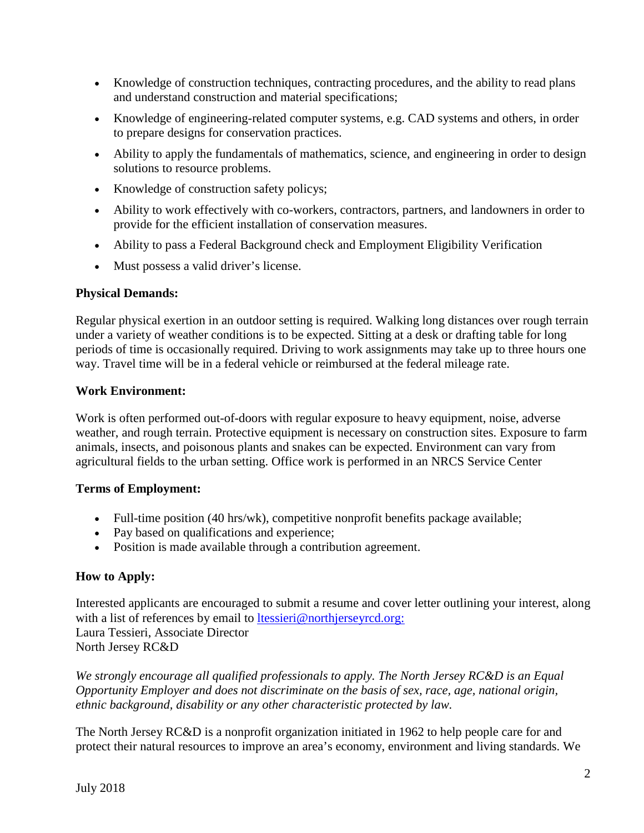- Knowledge of construction techniques, contracting procedures, and the ability to read plans and understand construction and material specifications;
- Knowledge of engineering-related computer systems, e.g. CAD systems and others, in order to prepare designs for conservation practices.
- Ability to apply the fundamentals of mathematics, science, and engineering in order to design solutions to resource problems.
- Knowledge of construction safety policys;
- Ability to work effectively with co-workers, contractors, partners, and landowners in order to provide for the efficient installation of conservation measures.
- Ability to pass a Federal Background check and Employment Eligibility Verification
- Must possess a valid driver's license.

# **Physical Demands:**

Regular physical exertion in an outdoor setting is required. Walking long distances over rough terrain under a variety of weather conditions is to be expected. Sitting at a desk or drafting table for long periods of time is occasionally required. Driving to work assignments may take up to three hours one way. Travel time will be in a federal vehicle or reimbursed at the federal mileage rate.

# **Work Environment:**

Work is often performed out-of-doors with regular exposure to heavy equipment, noise, adverse weather, and rough terrain. Protective equipment is necessary on construction sites. Exposure to farm animals, insects, and poisonous plants and snakes can be expected. Environment can vary from agricultural fields to the urban setting. Office work is performed in an NRCS Service Center

# **Terms of Employment:**

- Full-time position (40 hrs/wk), competitive nonprofit benefits package available;
- Pay based on qualifications and experience;
- Position is made available through a contribution agreement.

# **How to Apply:**

Interested applicants are encouraged to submit a resume and cover letter outlining your interest, along with a list of references by email to [ltessieri@northjerseyrcd.org:](mailto:ltessieri@northjerseyrcd.org) Laura Tessieri, Associate Director North Jersey RC&D

*We strongly encourage all qualified professionals to apply. The North Jersey RC&D is an Equal Opportunity Employer and does not discriminate on the basis of sex, race, age, national origin, ethnic background, disability or any other characteristic protected by law.*

The North Jersey RC&D is a nonprofit organization initiated in 1962 to help people care for and protect their natural resources to improve an area's economy, environment and living standards. We